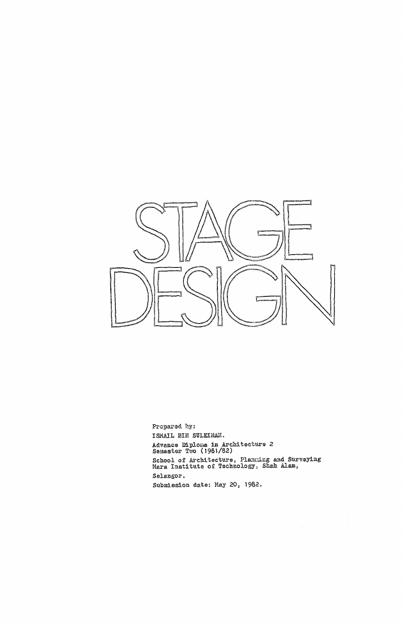

Propared by: ISMAIL BIN SULEIMAN. Advance Diploma in Architecture 2<br>Semester Two (1981/82)

School of Architecture, Plamming and Surveying<br>Mara Institute of Technology, Shah Alam,

 $\sim$ 

 $\label{eq:2.1} \frac{1}{\sqrt{2}}\int_{\mathbb{R}^3}\frac{1}{\sqrt{2}}\left(\frac{1}{\sqrt{2}}\right)^2\frac{1}{\sqrt{2}}\left(\frac{1}{\sqrt{2}}\right)^2\frac{1}{\sqrt{2}}\left(\frac{1}{\sqrt{2}}\right)^2.$ 

 $\sim 10^7$ 

Selangor.

Submission date: May 20, 1982.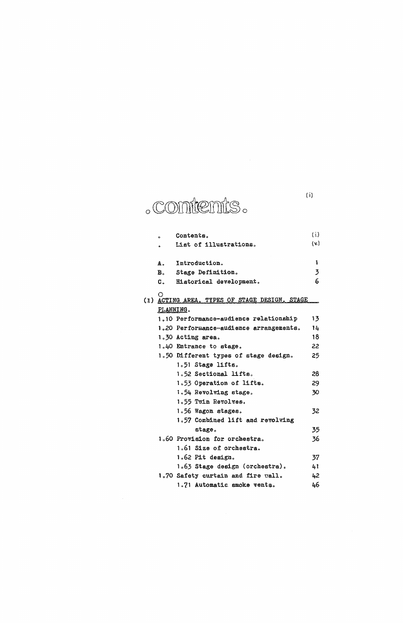(i)

 $1.62$  Pit design.  $37$ 

## **o**

|     | ۰         | Contents.                                 | (i.) |
|-----|-----------|-------------------------------------------|------|
|     | ۰         | List of illustrations.                    | (v.) |
|     | А.        | Introduction.                             | 1    |
|     | B.,       | Stage Definition.                         | 3    |
|     |           |                                           | 6    |
|     | C.        | Historical development.                   |      |
| (3) |           | ACTING AREA, TYPES OF STAGE DESIGN, STAGE |      |
|     | PLANNING. |                                           |      |
|     |           | 1.10 Performance-audience relationship    | 13   |
|     |           | 1.20 Performance-audience arrangements.   | 14   |
|     |           | 1.30 Acting area.                         | 18   |
|     |           | 1.40 Entrance to stage.                   | 22   |
|     |           | 1.50 Different types of stage design.     | 25   |
|     |           | 1.51 Stage lifts.                         |      |
|     |           | 1.52 Sectional lifts.                     | 28   |
|     |           | 1.53 Operation of lifts.                  | 29   |
|     |           | 1.54 Revolving stage.                     | 30   |
|     |           | 1.55 Twin Revolves.                       |      |
|     |           | 1.56 Wagon stages.                        | 32   |
|     |           | 1.57 Combined lift and revolving          |      |
|     |           | stage.                                    | 35   |
|     |           | 1.60 Provision for orchestra.             | 36   |
|     |           | 1.61 Size of orchestra.                   |      |
|     |           |                                           |      |

 $\sim 10^7$ 

|                                    | -  |
|------------------------------------|----|
| 1.63 Stage design (orchestra).     | 41 |
| 1.70 Safety curtain and fire vall. | 42 |
| 1.71 Automatic smoke vents.        | 46 |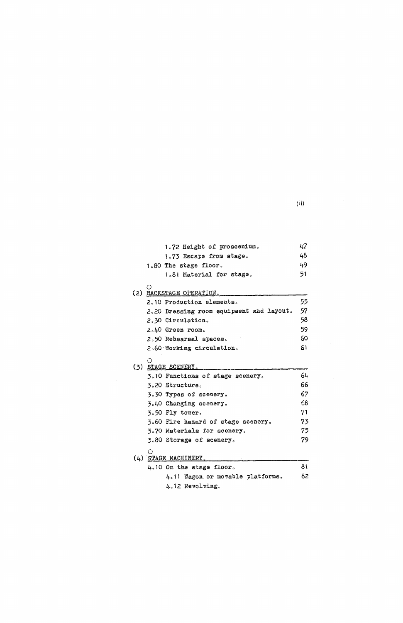$\label{eq:11} \textbf{(ii)} \qquad \qquad \textbf{1} \qquad \qquad \textbf{1}$ 

|     | 1.72 Height of proscenium.               | 47 |
|-----|------------------------------------------|----|
|     | 1.73 Escape from stage.                  | 48 |
|     | 1.80 The stage floor.                    | 49 |
|     | 1.81 Material for stage.                 | 51 |
| (2) | BACKSTAGE OPERATION.                     |    |
|     | 2.10 Production elements.                | 55 |
|     | 2.20 Dressing room equipment and layout. | 57 |
|     | 2.30 Circulation.                        | 58 |
|     | 2.40 Greem room.                         | 59 |
|     | 2.50 Rehearsal spaces.                   | 60 |
|     | 2.60 Working circulation.                | 61 |
|     | O<br>(3) STAGE SCENERY.                  |    |
|     | 3.10 Functions of stage scenery.         | 64 |
|     | 3.20 Structure.                          | 66 |
|     | 3.30 Types of scenery.                   | 67 |
|     | 3.40 Changing scenery.                   | 68 |
|     | 3.50 Fly tower.                          | 71 |
|     | 3.60 Fire hazard of stage scenery.       | 73 |
|     | 3.70 Materials for scenery.              | 75 |
|     | 3.80 Storage of scenery.                 | 79 |
|     | $(4)$ STAGE MACHINERY.                   |    |

| <u>OIAUD PIAULLMENI.</u> |                                  |     |
|--------------------------|----------------------------------|-----|
|                          | $4.10$ On the stage floor.       | 81  |
|                          | 4.11 Wagon or movable platforms. | 82. |
|                          | 4.12 Revolving.                  |     |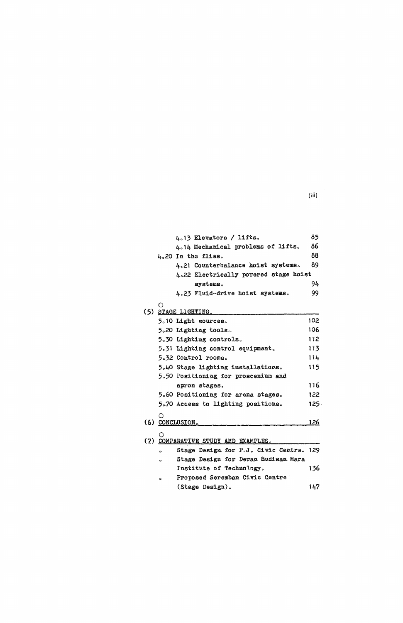$(iii)$ 

|    | 4.13 Elevators / lifts.                                                     | 85          |
|----|-----------------------------------------------------------------------------|-------------|
|    | 4.14 Mechanical problems of lifts.                                          | 86          |
|    | 4.20 In the flies.                                                          | 88          |
|    | 4.21 Counterbalance hoist systems.                                          | 89          |
|    | 4.22 Electrically powered stage hoist                                       |             |
|    | systems.                                                                    | 94          |
|    | 4.23 Fluid-drive hoist systems.                                             | 99          |
| F) |                                                                             |             |
|    | (5) STAGE LIGHTING.                                                         |             |
|    | 5.10 Light sources.                                                         | 102         |
|    | 5.20 Lighting tools.                                                        | 106         |
|    | 5.30 Lighting controls.                                                     | 112         |
|    | 5.31 Lighting control equipment.                                            | 113         |
|    | 5.32 Control rooms.                                                         | 114         |
|    | 5.40 Stage lighting installations.                                          | 115         |
|    | 5.50 Positioning for proscenium and                                         |             |
|    | apron stages.                                                               | 116         |
|    | 5.60 Positioning for arema stages.                                          | 122         |
|    | 5.70 Access to lighting positions.                                          | $125 -$     |
| O  |                                                                             |             |
|    | (6) CONCLUSION.                                                             | <u> 126</u> |
|    |                                                                             |             |
|    | (7) COMPARATIVE STUDY AND EXAMPLES.                                         |             |
| b. | Stage Design for P.J. Civic Centre. 129<br>Ob as Dead on Oak Departments of |             |

 $\bullet$ Stage Design for Dewan Budiman Mara Institute of Technology. 136. Proposed Seremban Civic Centre  $\bullet$ 

 $\sim 400$ 

(Stage Design).  $147$